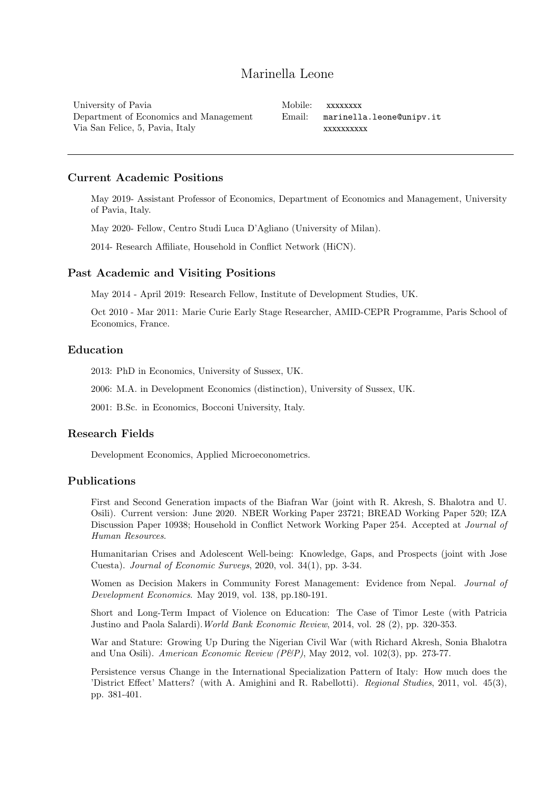# Marinella Leone

University of Pavia Department of Economics and Management Via San Felice, 5, Pavia, Italy

Mobile: xxxxxxxx Email: [marinella.leone@unipv.it](mailto: marinella.leone@unipv.it) [xxxxxxxxxx](mailto: marinellaleone@icloud.com)

# Current Academic Positions

May 2019- Assistant Professor of Economics, Department of Economics and Management, University of Pavia, Italy.

May 2020- Fellow, Centro Studi Luca D'Agliano (University of Milan).

2014- Research Affiliate, Household in Conflict Network (HiCN).

# Past Academic and Visiting Positions

May 2014 - April 2019: Research Fellow, Institute of Development Studies, UK.

Oct 2010 - Mar 2011: Marie Curie Early Stage Researcher, AMID-CEPR Programme, Paris School of Economics, France.

# Education

2013: PhD in Economics, University of Sussex, UK.

2006: M.A. in Development Economics (distinction), University of Sussex, UK.

2001: B.Sc. in Economics, Bocconi University, Italy.

#### Research Fields

Development Economics, Applied Microeconometrics.

# Publications

First and Second Generation impacts of the Biafran War (joint with R. Akresh, S. Bhalotra and U. Osili). Current version: June 2020. NBER Working Paper 23721; BREAD Working Paper 520; IZA Discussion Paper 10938; Household in Conflict Network Working Paper 254. Accepted at Journal of Human Resources.

Humanitarian Crises and Adolescent Well-being: Knowledge, Gaps, and Prospects (joint with Jose Cuesta). Journal of Economic Surveys, 2020, vol. 34(1), pp. 3-34.

Women as Decision Makers in Community Forest Management: Evidence from Nepal. Journal of Development Economics. May 2019, vol. 138, pp.180-191.

Short and Long-Term Impact of Violence on Education: The Case of Timor Leste (with Patricia Justino and Paola Salardi).World Bank Economic Review, 2014, vol. 28 (2), pp. 320-353.

War and Stature: Growing Up During the Nigerian Civil War (with Richard Akresh, Sonia Bhalotra and Una Osili). American Economic Review (P&P), May 2012, vol. 102(3), pp. 273-77.

Persistence versus Change in the International Specialization Pattern of Italy: How much does the 'District Effect' Matters? (with A. Amighini and R. Rabellotti). Regional Studies, 2011, vol. 45(3), pp. 381-401.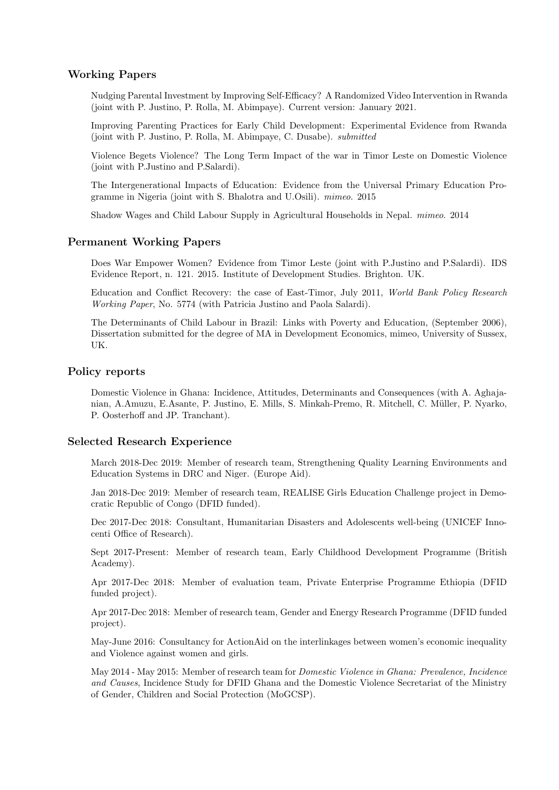# Working Papers

Nudging Parental Investment by Improving Self-Efficacy? A Randomized Video Intervention in Rwanda (joint with P. Justino, P. Rolla, M. Abimpaye). Current version: January 2021.

Improving Parenting Practices for Early Child Development: Experimental Evidence from Rwanda (joint with P. Justino, P. Rolla, M. Abimpaye, C. Dusabe). submitted

Violence Begets Violence? The Long Term Impact of the war in Timor Leste on Domestic Violence (joint with P.Justino and P.Salardi).

The Intergenerational Impacts of Education: Evidence from the Universal Primary Education Programme in Nigeria (joint with S. Bhalotra and U.Osili). mimeo. 2015

Shadow Wages and Child Labour Supply in Agricultural Households in Nepal. mimeo. 2014

# Permanent Working Papers

Does War Empower Women? Evidence from Timor Leste (joint with P.Justino and P.Salardi). IDS Evidence Report, n. 121. 2015. Institute of Development Studies. Brighton. UK.

Education and Conflict Recovery: the case of East-Timor, July 2011, World Bank Policy Research Working Paper, No. 5774 (with Patricia Justino and Paola Salardi).

The Determinants of Child Labour in Brazil: Links with Poverty and Education, (September 2006), Dissertation submitted for the degree of MA in Development Economics, mimeo, University of Sussex, UK.

#### Policy reports

Domestic Violence in Ghana: Incidence, Attitudes, Determinants and Consequences (with A. Aghajanian, A.Amuzu, E.Asante, P. Justino, E. Mills, S. Minkah-Premo, R. Mitchell, C. Müller, P. Nyarko, P. Oosterhoff and JP. Tranchant).

#### Selected Research Experience

March 2018-Dec 2019: Member of research team, Strengthening Quality Learning Environments and Education Systems in DRC and Niger. (Europe Aid).

Jan 2018-Dec 2019: Member of research team, REALISE Girls Education Challenge project in Democratic Republic of Congo (DFID funded).

Dec 2017-Dec 2018: Consultant, Humanitarian Disasters and Adolescents well-being (UNICEF Innocenti Office of Research).

Sept 2017-Present: Member of research team, Early Childhood Development Programme (British Academy).

Apr 2017-Dec 2018: Member of evaluation team, Private Enterprise Programme Ethiopia (DFID funded project).

Apr 2017-Dec 2018: Member of research team, Gender and Energy Research Programme (DFID funded project).

May-June 2016: Consultancy for ActionAid on the interlinkages between women's economic inequality and Violence against women and girls.

May 2014 - May 2015: Member of research team for Domestic Violence in Ghana: Prevalence, Incidence and Causes, Incidence Study for DFID Ghana and the Domestic Violence Secretariat of the Ministry of Gender, Children and Social Protection (MoGCSP).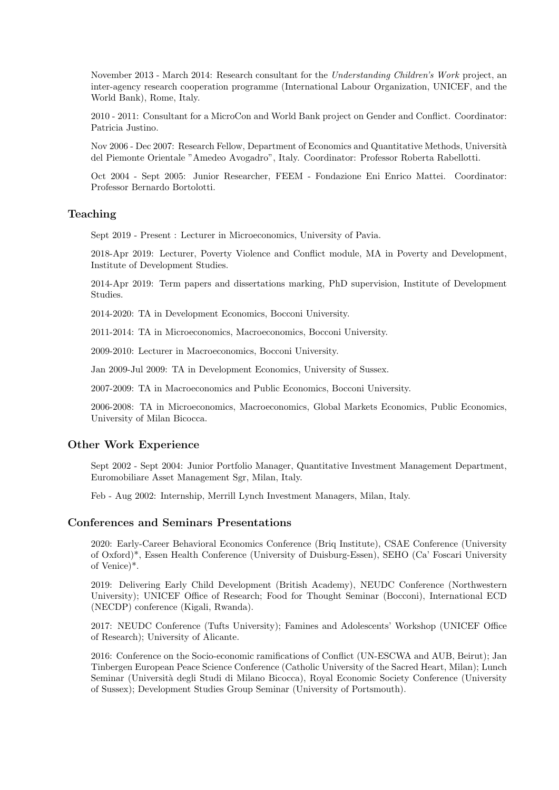November 2013 - March 2014: Research consultant for the Understanding Children's Work project, an inter-agency research cooperation programme (International Labour Organization, UNICEF, and the World Bank), Rome, Italy.

2010 - 2011: Consultant for a MicroCon and World Bank project on Gender and Conflict. Coordinator: Patricia Justino.

Nov 2006 - Dec 2007: Research Fellow, Department of Economics and Quantitative Methods, Università del Piemonte Orientale "Amedeo Avogadro", Italy. Coordinator: Professor Roberta Rabellotti.

Oct 2004 - Sept 2005: Junior Researcher, FEEM - Fondazione Eni Enrico Mattei. Coordinator: Professor Bernardo Bortolotti.

### Teaching

Sept 2019 - Present : Lecturer in Microeconomics, University of Pavia.

2018-Apr 2019: Lecturer, Poverty Violence and Conflict module, MA in Poverty and Development, Institute of Development Studies.

2014-Apr 2019: Term papers and dissertations marking, PhD supervision, Institute of Development Studies.

2014-2020: TA in Development Economics, Bocconi University.

2011-2014: TA in Microeconomics, Macroeconomics, Bocconi University.

2009-2010: Lecturer in Macroeconomics, Bocconi University.

Jan 2009-Jul 2009: TA in Development Economics, University of Sussex.

2007-2009: TA in Macroeconomics and Public Economics, Bocconi University.

2006-2008: TA in Microeconomics, Macroeconomics, Global Markets Economics, Public Economics, University of Milan Bicocca.

#### Other Work Experience

Sept 2002 - Sept 2004: Junior Portfolio Manager, Quantitative Investment Management Department, Euromobiliare Asset Management Sgr, Milan, Italy.

Feb - Aug 2002: Internship, Merrill Lynch Investment Managers, Milan, Italy.

# Conferences and Seminars Presentations

2020: Early-Career Behavioral Economics Conference (Briq Institute), CSAE Conference (University of Oxford)\*, Essen Health Conference (University of Duisburg-Essen), SEHO (Ca' Foscari University of Venice)\*.

2019: Delivering Early Child Development (British Academy), NEUDC Conference (Northwestern University); UNICEF Office of Research; Food for Thought Seminar (Bocconi), International ECD (NECDP) conference (Kigali, Rwanda).

2017: NEUDC Conference (Tufts University); Famines and Adolescents' Workshop (UNICEF Office of Research); University of Alicante.

2016: Conference on the Socio-economic ramifications of Conflict (UN-ESCWA and AUB, Beirut); Jan Tinbergen European Peace Science Conference (Catholic University of the Sacred Heart, Milan); Lunch Seminar (Università degli Studi di Milano Bicocca), Royal Economic Society Conference (University of Sussex); Development Studies Group Seminar (University of Portsmouth).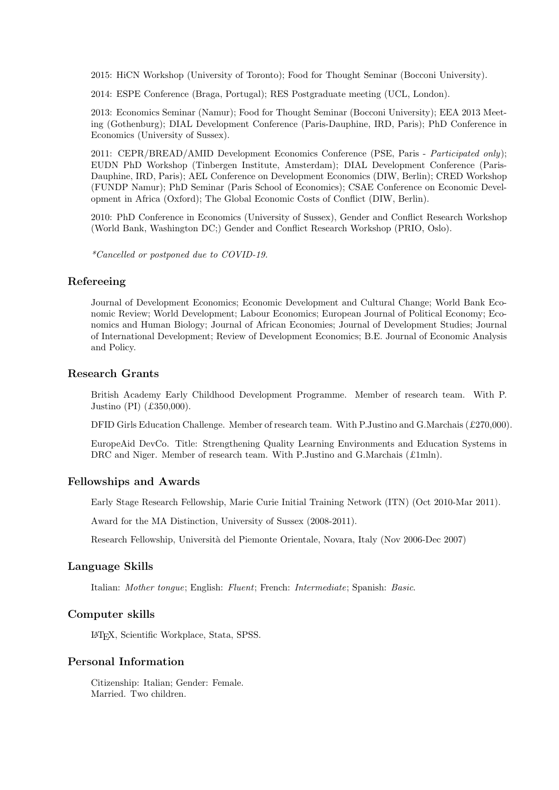2015: HiCN Workshop (University of Toronto); Food for Thought Seminar (Bocconi University).

2014: ESPE Conference (Braga, Portugal); RES Postgraduate meeting (UCL, London).

2013: Economics Seminar (Namur); Food for Thought Seminar (Bocconi University); EEA 2013 Meeting (Gothenburg); DIAL Development Conference (Paris-Dauphine, IRD, Paris); PhD Conference in Economics (University of Sussex).

2011: CEPR/BREAD/AMID Development Economics Conference (PSE, Paris - Participated only); EUDN PhD Workshop (Tinbergen Institute, Amsterdam); DIAL Development Conference (Paris-Dauphine, IRD, Paris); AEL Conference on Development Economics (DIW, Berlin); CRED Workshop (FUNDP Namur); PhD Seminar (Paris School of Economics); CSAE Conference on Economic Development in Africa (Oxford); The Global Economic Costs of Conflict (DIW, Berlin).

2010: PhD Conference in Economics (University of Sussex), Gender and Conflict Research Workshop (World Bank, Washington DC;) Gender and Conflict Research Workshop (PRIO, Oslo).

\*Cancelled or postponed due to COVID-19.

## Refereeing

Journal of Development Economics; Economic Development and Cultural Change; World Bank Economic Review; World Development; Labour Economics; European Journal of Political Economy; Economics and Human Biology; Journal of African Economies; Journal of Development Studies; Journal of International Development; Review of Development Economics; B.E. Journal of Economic Analysis and Policy.

# Research Grants

British Academy Early Childhood Development Programme. Member of research team. With P. Justino (PI) (£350,000).

DFID Girls Education Challenge. Member of research team. With P.Justino and G.Marchais (£270,000).

EuropeAid DevCo. Title: Strengthening Quality Learning Environments and Education Systems in DRC and Niger. Member of research team. With P.Justino and G.Marchais (£1mln).

### Fellowships and Awards

Early Stage Research Fellowship, Marie Curie Initial Training Network (ITN) (Oct 2010-Mar 2011).

Award for the MA Distinction, University of Sussex (2008-2011).

Research Fellowship, Universit`a del Piemonte Orientale, Novara, Italy (Nov 2006-Dec 2007)

#### Language Skills

Italian: Mother tongue; English: Fluent; French: Intermediate; Spanish: Basic.

#### Computer skills

LATEX, Scientific Workplace, Stata, SPSS.

# Personal Information

Citizenship: Italian; Gender: Female. Married. Two children.